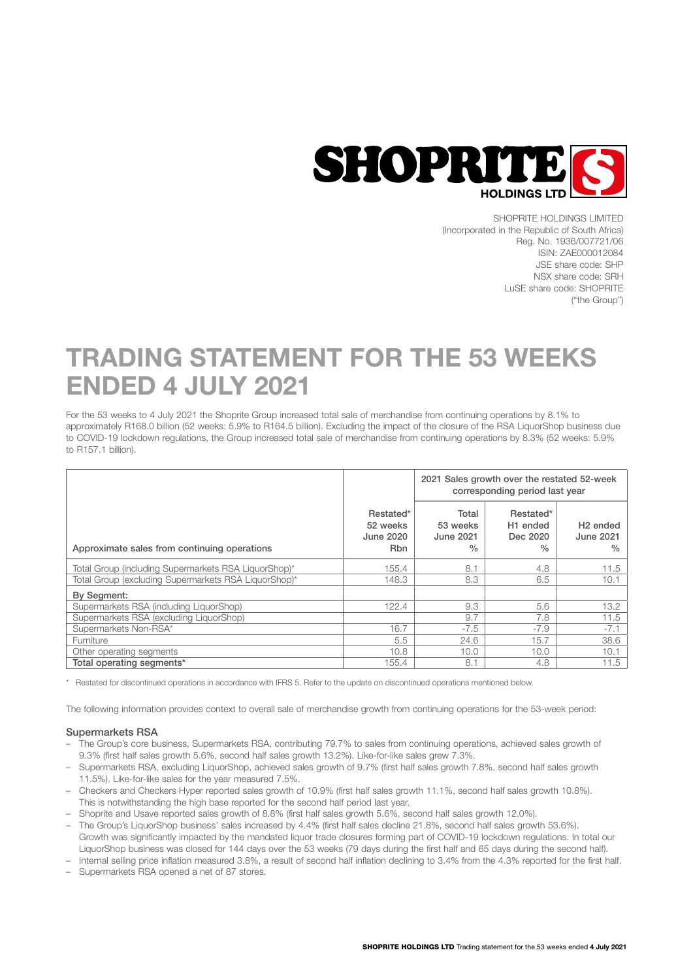

SHOPRITE HOLDINGS LIMITED (Incorporated in the Republic of South Africa) Reg. No. 1936/007721/06 ISIN: ZAE000012084 JSE share code: SHP NSX share code: SRH LuSE share code: SHOPRITE ("the Group")

# TRADING STATEMENT FOR THE 53 WEEKS ENDED 4 JULY 2021

For the 53 weeks to 4 July 2021 the Shoprite Group increased total sale of merchandise from continuing operations by 8.1% to approximately R168.0 billion (52 weeks: 5.9% to R164.5 billion). Excluding the impact of the closure of the RSA LiquorShop business due to COVID-19 lockdown regulations, the Group increased total sale of merchandise from continuing operations by 8.3% (52 weeks: 5.9% to R157.1 billion).

|                                                      |                                                  | 2021 Sales growth over the restated 52-week<br>corresponding period last year |                                                       |                                                           |
|------------------------------------------------------|--------------------------------------------------|-------------------------------------------------------------------------------|-------------------------------------------------------|-----------------------------------------------------------|
| Approximate sales from continuing operations         | Restated*<br>52 weeks<br>June 2020<br><b>Rbn</b> | Total<br>53 weeks<br>June 2021<br>$\frac{0}{0}$                               | Restated*<br>H <sub>1</sub> ended<br>Dec 2020<br>$\%$ | H <sub>2</sub> ended<br><b>June 2021</b><br>$\frac{0}{0}$ |
| Total Group (including Supermarkets RSA LiquorShop)* | 155.4                                            | 8.1                                                                           | 4.8                                                   | 11.5                                                      |
| Total Group (excluding Supermarkets RSA LiquorShop)* | 148.3                                            | 8.3                                                                           | 6.5                                                   | 10.1                                                      |
| By Segment:                                          |                                                  |                                                                               |                                                       |                                                           |
| Supermarkets RSA (including LiquorShop)              | 122.4                                            | 9.3                                                                           | 5.6                                                   | 13.2                                                      |
| Supermarkets RSA (excluding LiguorShop)              |                                                  | 9.7                                                                           | 7.8                                                   | 11.5                                                      |
| Supermarkets Non-RSA*                                | 16.7                                             | $-7.5$                                                                        | $-7.9$                                                | $-7.1$                                                    |
| <b>Furniture</b>                                     | 5.5                                              | 24.6                                                                          | 15.7                                                  | 38.6                                                      |
| Other operating segments                             | 10.8                                             | 10.0                                                                          | 10.0                                                  | 10.1                                                      |
| Total operating segments*                            | 155.4                                            | 8.1                                                                           | 4.8                                                   | 11.5                                                      |

\* Restated for discontinued operations in accordance with IFRS 5. Refer to the update on discontinued operations mentioned below.

The following information provides context to overall sale of merchandise growth from continuing operations for the 53-week period:

### Supermarkets RSA

- The Group's core business, Supermarkets RSA, contributing 79.7% to sales from continuing operations, achieved sales growth of 9.3% (first half sales growth 5.6%, second half sales growth 13.2%). Like-for-like sales grew 7.3%.
- Supermarkets RSA, excluding LiquorShop, achieved sales growth of 9.7% (first half sales growth 7.8%, second half sales growth 11.5%). Like-for-like sales for the year measured 7.5%.
- Checkers and Checkers Hyper reported sales growth of 10.9% (first half sales growth 11.1%, second half sales growth 10.8%). This is notwithstanding the high base reported for the second half period last year.
- Shoprite and Usave reported sales growth of 8.8% (first half sales growth 5.6%, second half sales growth 12.0%).
- The Group's LiquorShop business' sales increased by 4.4% (first half sales decline 21.8%, second half sales growth 53.6%). Growth was significantly impacted by the mandated liquor trade closures forming part of COVID-19 lockdown regulations. In total our LiquorShop business was closed for 144 days over the 53 weeks (79 days during the first half and 65 days during the second half).
- Internal selling price inflation measured 3.8%, a result of second half inflation declining to 3.4% from the 4.3% reported for the first half.
- Supermarkets RSA opened a net of 87 stores.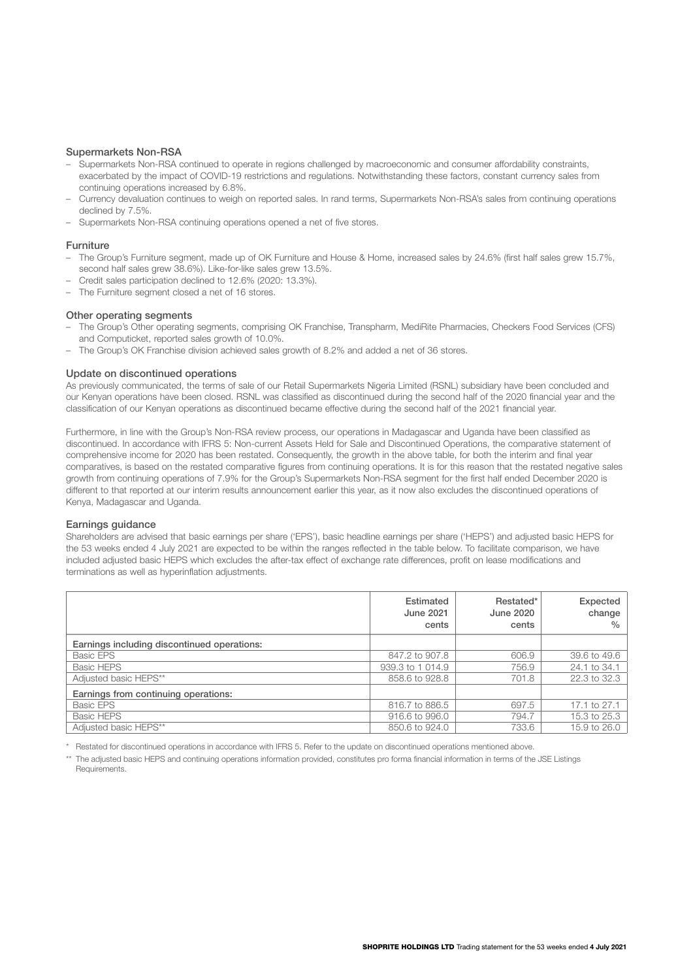# Supermarkets Non-RSA

- Supermarkets Non-RSA continued to operate in regions challenged by macroeconomic and consumer affordability constraints, exacerbated by the impact of COVID-19 restrictions and regulations. Notwithstanding these factors, constant currency sales from continuing operations increased by 6.8%.
- Currency devaluation continues to weigh on reported sales. In rand terms, Supermarkets Non-RSA's sales from continuing operations declined by 7.5%.
- Supermarkets Non-RSA continuing operations opened a net of five stores.

#### Furniture

- The Group's Furniture segment, made up of OK Furniture and House & Home, increased sales by 24.6% (first half sales grew 15.7%, second half sales grew 38.6%). Like-for-like sales grew 13.5%.
- Credit sales participation declined to 12.6% (2020: 13.3%).
- The Furniture segment closed a net of 16 stores.

#### Other operating segments

- The Group's Other operating segments, comprising OK Franchise, Transpharm, MediRite Pharmacies, Checkers Food Services (CFS) and Computicket, reported sales growth of 10.0%.
- The Group's OK Franchise division achieved sales growth of 8.2% and added a net of 36 stores.

#### Update on discontinued operations

As previously communicated, the terms of sale of our Retail Supermarkets Nigeria Limited (RSNL) subsidiary have been concluded and our Kenyan operations have been closed. RSNL was classified as discontinued during the second half of the 2020 financial year and the classification of our Kenyan operations as discontinued became effective during the second half of the 2021 financial year.

Furthermore, in line with the Group's Non-RSA review process, our operations in Madagascar and Uganda have been classified as discontinued. In accordance with IFRS 5: Non-current Assets Held for Sale and Discontinued Operations, the comparative statement of comprehensive income for 2020 has been restated. Consequently, the growth in the above table, for both the interim and final year comparatives, is based on the restated comparative figures from continuing operations. It is for this reason that the restated negative sales growth from continuing operations of 7.9% for the Group's Supermarkets Non-RSA segment for the first half ended December 2020 is different to that reported at our interim results announcement earlier this year, as it now also excludes the discontinued operations of Kenya, Madagascar and Uganda.

#### Earnings guidance

Shareholders are advised that basic earnings per share ('EPS'), basic headline earnings per share ('HEPS') and adjusted basic HEPS for the 53 weeks ended 4 July 2021 are expected to be within the ranges reflected in the table below. To facilitate comparison, we have included adjusted basic HEPS which excludes the after-tax effect of exchange rate differences, profit on lease modifications and terminations as well as hyperinflation adjustments.

|                                             | Estimated<br>June 2021<br>cents | Restated*<br>June 2020<br>cents | Expected<br>change<br>$\frac{0}{0}$ |
|---------------------------------------------|---------------------------------|---------------------------------|-------------------------------------|
| Earnings including discontinued operations: |                                 |                                 |                                     |
| <b>Basic EPS</b>                            | 847.2 to 907.8                  | 606.9                           | 39.6 to 49.6                        |
| <b>Basic HEPS</b>                           | 939.3 to 1 014.9                | 756.9                           | 24.1 to 34.1                        |
| Adjusted basic HEPS**                       | 858.6 to 928.8                  | 701.8                           | 22.3 to 32.3                        |
| Earnings from continuing operations:        |                                 |                                 |                                     |
| <b>Basic EPS</b>                            | 816.7 to 886.5                  | 697.5                           | 17.1 to 27.1                        |
| <b>Basic HEPS</b>                           | 916.6 to 996.0                  | 794.7                           | 15.3 to 25.3                        |
| Adjusted basic HEPS**                       | 850.6 to 924.0                  | 733.6                           | 15.9 to 26.0                        |

\* Restated for discontinued operations in accordance with IFRS 5. Refer to the update on discontinued operations mentioned above.

\*\* The adjusted basic HEPS and continuing operations information provided, constitutes pro forma financial information in terms of the JSE Listings Requirements.